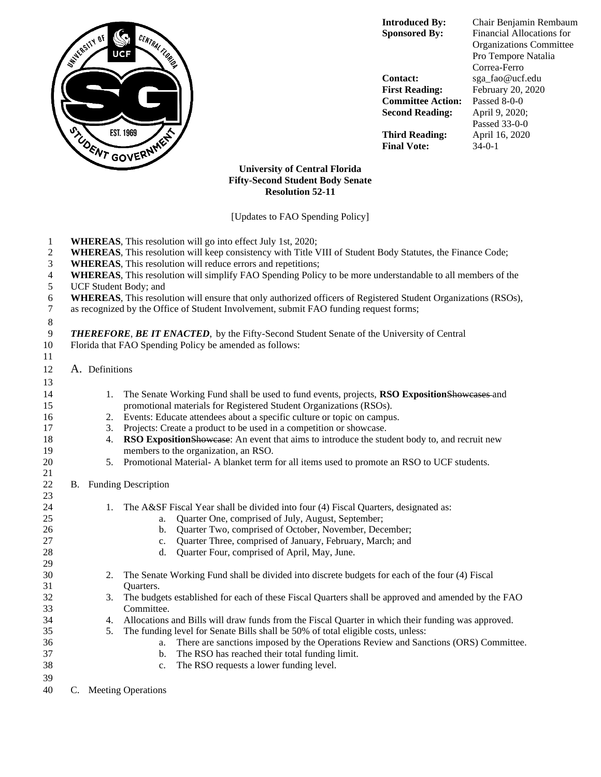

**Contact:** sga\_fao@ucf.edu **First Reading:** February 20, 2020 **Committee Action:** Passed 8-0-0 **Second Reading:** April 9, 2020;

**Third Reading:** April 16, 2020 **Final Vote:** 34-0-1

**Introduced By:** Chair Benjamin Rembaum **Sponsored By:** Financial Allocations for Organizations Committee Pro Tempore Natalia Correa-Ferro Passed 33-0-0

## **University of Central Florida Fifty-Second Student Body Senate Resolution 52-11**

[Updates to FAO Spending Policy]

- **WHEREAS**, This resolution will go into effect July 1st, 2020;
- **WHEREAS**, This resolution will keep consistency with Title VIII of Student Body Statutes, the Finance Code;
- **WHEREAS**, This resolution will reduce errors and repetitions;
- **WHEREAS**, This resolution will simplify FAO Spending Policy to be more understandable to all members of the
- UCF Student Body; and
- **WHEREAS**, This resolution will ensure that only authorized officers of Registered Student Organizations (RSOs), as recognized by the Office of Student Involvement, submit FAO funding request forms:
- as recognized by the Office of Student Involvement, submit FAO funding request forms;

## 

- *THEREFORE*, *BE IT ENACTED*, by the Fifty-Second Student Senate of the University of Central
- Florida that FAO Spending Policy be amended as follows:
- A. Definitions

| 13       |    |    |                                                                                                    |  |  |  |  |  |  |
|----------|----|----|----------------------------------------------------------------------------------------------------|--|--|--|--|--|--|
| 14       |    | 1. | The Senate Working Fund shall be used to fund events, projects, RSO ExpositionShoweases and        |  |  |  |  |  |  |
| 15       |    |    | promotional materials for Registered Student Organizations (RSOs).                                 |  |  |  |  |  |  |
| 16       |    | 2. | Events: Educate attendees about a specific culture or topic on campus.                             |  |  |  |  |  |  |
| 17       |    | 3. | Projects: Create a product to be used in a competition or showcase.                                |  |  |  |  |  |  |
| 18       |    | 4. | RSO ExpositionShowease: An event that aims to introduce the student body to, and recruit new       |  |  |  |  |  |  |
| 19       |    |    | members to the organization, an RSO.                                                               |  |  |  |  |  |  |
| 20<br>21 |    | 5. | Promotional Material-A blanket term for all items used to promote an RSO to UCF students.          |  |  |  |  |  |  |
| 22       | B. |    | <b>Funding Description</b>                                                                         |  |  |  |  |  |  |
| 23       |    |    |                                                                                                    |  |  |  |  |  |  |
| 24       |    | 1. | The A&SF Fiscal Year shall be divided into four (4) Fiscal Quarters, designated as:                |  |  |  |  |  |  |
| 25       |    |    | Quarter One, comprised of July, August, September;<br>a.                                           |  |  |  |  |  |  |
| 26       |    |    | Quarter Two, comprised of October, November, December;<br>b.                                       |  |  |  |  |  |  |
| 27       |    |    | Quarter Three, comprised of January, February, March; and<br>c.                                    |  |  |  |  |  |  |
| 28       |    |    | Quarter Four, comprised of April, May, June.<br>d.                                                 |  |  |  |  |  |  |
| 29       |    |    |                                                                                                    |  |  |  |  |  |  |
| 30       |    | 2. | The Senate Working Fund shall be divided into discrete budgets for each of the four (4) Fiscal     |  |  |  |  |  |  |
| 31       |    |    | Quarters.                                                                                          |  |  |  |  |  |  |
| 32       |    | 3. | The budgets established for each of these Fiscal Quarters shall be approved and amended by the FAO |  |  |  |  |  |  |
| 33       |    |    | Committee.                                                                                         |  |  |  |  |  |  |
| 34       |    | 4. | Allocations and Bills will draw funds from the Fiscal Quarter in which their funding was approved. |  |  |  |  |  |  |
| 35       |    | 5. | The funding level for Senate Bills shall be 50% of total eligible costs, unless:                   |  |  |  |  |  |  |
| 36       |    |    | There are sanctions imposed by the Operations Review and Sanctions (ORS) Committee.<br>a.          |  |  |  |  |  |  |
| 37       |    |    | The RSO has reached their total funding limit.<br>b.                                               |  |  |  |  |  |  |
| 38       |    |    | The RSO requests a lower funding level.<br>$C_{\star}$                                             |  |  |  |  |  |  |
| 39       |    |    |                                                                                                    |  |  |  |  |  |  |
| 40       | C. |    | <b>Meeting Operations</b>                                                                          |  |  |  |  |  |  |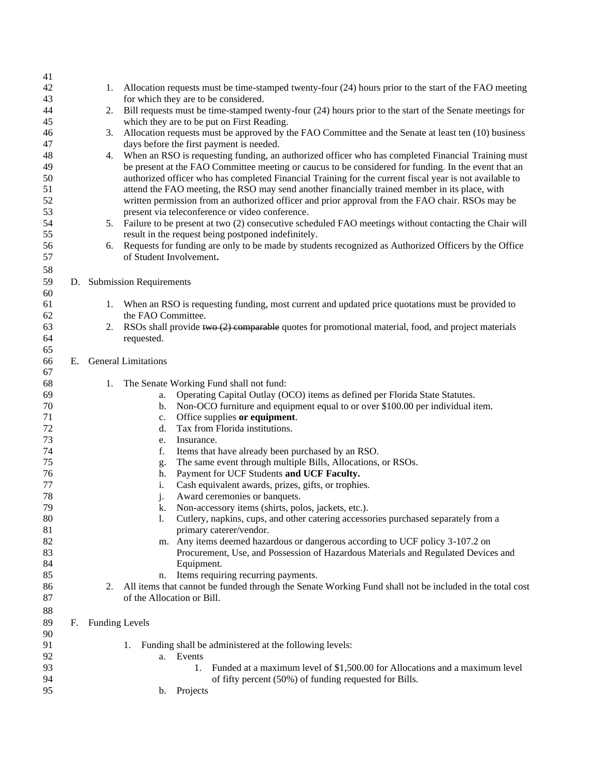| 41       |    |                       |                                                                                                                                                                    |  |  |  |  |  |  |
|----------|----|-----------------------|--------------------------------------------------------------------------------------------------------------------------------------------------------------------|--|--|--|--|--|--|
| 42       |    | 1.                    | Allocation requests must be time-stamped twenty-four (24) hours prior to the start of the FAO meeting                                                              |  |  |  |  |  |  |
| 43       |    |                       | for which they are to be considered.                                                                                                                               |  |  |  |  |  |  |
| 44       |    | 2.                    | Bill requests must be time-stamped twenty-four (24) hours prior to the start of the Senate meetings for                                                            |  |  |  |  |  |  |
| 45       |    |                       | which they are to be put on First Reading.                                                                                                                         |  |  |  |  |  |  |
| 46       |    | 3.                    | Allocation requests must be approved by the FAO Committee and the Senate at least ten (10) business                                                                |  |  |  |  |  |  |
| 47       |    |                       | days before the first payment is needed.                                                                                                                           |  |  |  |  |  |  |
| 48       |    | 4.                    | When an RSO is requesting funding, an authorized officer who has completed Financial Training must                                                                 |  |  |  |  |  |  |
| 49       |    |                       | be present at the FAO Committee meeting or caucus to be considered for funding. In the event that an                                                               |  |  |  |  |  |  |
| 50       |    |                       | authorized officer who has completed Financial Training for the current fiscal year is not available to                                                            |  |  |  |  |  |  |
| 51       |    |                       | attend the FAO meeting, the RSO may send another financially trained member in its place, with                                                                     |  |  |  |  |  |  |
| 52       |    |                       | written permission from an authorized officer and prior approval from the FAO chair. RSOs may be                                                                   |  |  |  |  |  |  |
| 53       |    |                       | present via teleconference or video conference.                                                                                                                    |  |  |  |  |  |  |
| 54       |    | 5.                    | Failure to be present at two (2) consecutive scheduled FAO meetings without contacting the Chair will                                                              |  |  |  |  |  |  |
| 55       |    |                       | result in the request being postponed indefinitely.                                                                                                                |  |  |  |  |  |  |
| 56       |    | 6.                    | Requests for funding are only to be made by students recognized as Authorized Officers by the Office                                                               |  |  |  |  |  |  |
| 57       |    |                       | of Student Involvement.                                                                                                                                            |  |  |  |  |  |  |
| 58       |    |                       |                                                                                                                                                                    |  |  |  |  |  |  |
| 59       |    |                       | D. Submission Requirements                                                                                                                                         |  |  |  |  |  |  |
| 60       |    |                       |                                                                                                                                                                    |  |  |  |  |  |  |
| 61       |    | 1.                    | When an RSO is requesting funding, most current and updated price quotations must be provided to                                                                   |  |  |  |  |  |  |
| 62       |    |                       | the FAO Committee.                                                                                                                                                 |  |  |  |  |  |  |
| 63       |    | 2.                    | RSOs shall provide two $(2)$ comparable quotes for promotional material, food, and project materials                                                               |  |  |  |  |  |  |
| 64       |    |                       | requested.                                                                                                                                                         |  |  |  |  |  |  |
| 65       |    |                       |                                                                                                                                                                    |  |  |  |  |  |  |
| 66       |    |                       | E. General Limitations                                                                                                                                             |  |  |  |  |  |  |
| 67       |    |                       |                                                                                                                                                                    |  |  |  |  |  |  |
| 68       |    | 1.                    | The Senate Working Fund shall not fund:                                                                                                                            |  |  |  |  |  |  |
| 69       |    |                       | Operating Capital Outlay (OCO) items as defined per Florida State Statutes.<br>a.                                                                                  |  |  |  |  |  |  |
| 70       |    |                       | Non-OCO furniture and equipment equal to or over \$100.00 per individual item.<br>b.                                                                               |  |  |  |  |  |  |
| 71       |    |                       | Office supplies or equipment.<br>c.                                                                                                                                |  |  |  |  |  |  |
| 72       |    |                       | Tax from Florida institutions.<br>d.                                                                                                                               |  |  |  |  |  |  |
| 73       |    |                       | Insurance.<br>e.                                                                                                                                                   |  |  |  |  |  |  |
| 74       |    |                       | f.<br>Items that have already been purchased by an RSO.                                                                                                            |  |  |  |  |  |  |
| 75       |    |                       | The same event through multiple Bills, Allocations, or RSOs.<br>g.                                                                                                 |  |  |  |  |  |  |
| 76       |    |                       | Payment for UCF Students and UCF Faculty.<br>h.                                                                                                                    |  |  |  |  |  |  |
| 77       |    |                       | Cash equivalent awards, prizes, gifts, or trophies.<br>i.                                                                                                          |  |  |  |  |  |  |
| 78       |    |                       | Award ceremonies or banquets.<br>j.                                                                                                                                |  |  |  |  |  |  |
| 79       |    |                       | Non-accessory items (shirts, polos, jackets, etc.).<br>k.                                                                                                          |  |  |  |  |  |  |
| 80<br>81 |    |                       | Cutlery, napkins, cups, and other catering accessories purchased separately from a<br>l.<br>primary caterer/vendor.                                                |  |  |  |  |  |  |
| 82       |    |                       |                                                                                                                                                                    |  |  |  |  |  |  |
| 83       |    |                       | m. Any items deemed hazardous or dangerous according to UCF policy 3-107.2 on<br>Procurement, Use, and Possession of Hazardous Materials and Regulated Devices and |  |  |  |  |  |  |
| 84       |    |                       | Equipment.                                                                                                                                                         |  |  |  |  |  |  |
| 85       |    |                       | Items requiring recurring payments.<br>n.                                                                                                                          |  |  |  |  |  |  |
| 86       |    | 2.                    | All items that cannot be funded through the Senate Working Fund shall not be included in the total cost                                                            |  |  |  |  |  |  |
| 87       |    |                       | of the Allocation or Bill.                                                                                                                                         |  |  |  |  |  |  |
| 88       |    |                       |                                                                                                                                                                    |  |  |  |  |  |  |
| 89       |    |                       |                                                                                                                                                                    |  |  |  |  |  |  |
| 90       | F. | <b>Funding Levels</b> |                                                                                                                                                                    |  |  |  |  |  |  |
| 91       |    |                       | 1. Funding shall be administered at the following levels:                                                                                                          |  |  |  |  |  |  |
| 92       |    |                       | a. Events                                                                                                                                                          |  |  |  |  |  |  |
| 93       |    |                       | Funded at a maximum level of \$1,500.00 for Allocations and a maximum level<br>1.                                                                                  |  |  |  |  |  |  |
| 94       |    |                       | of fifty percent (50%) of funding requested for Bills.                                                                                                             |  |  |  |  |  |  |
| 95       |    |                       | Projects<br>b.                                                                                                                                                     |  |  |  |  |  |  |
|          |    |                       |                                                                                                                                                                    |  |  |  |  |  |  |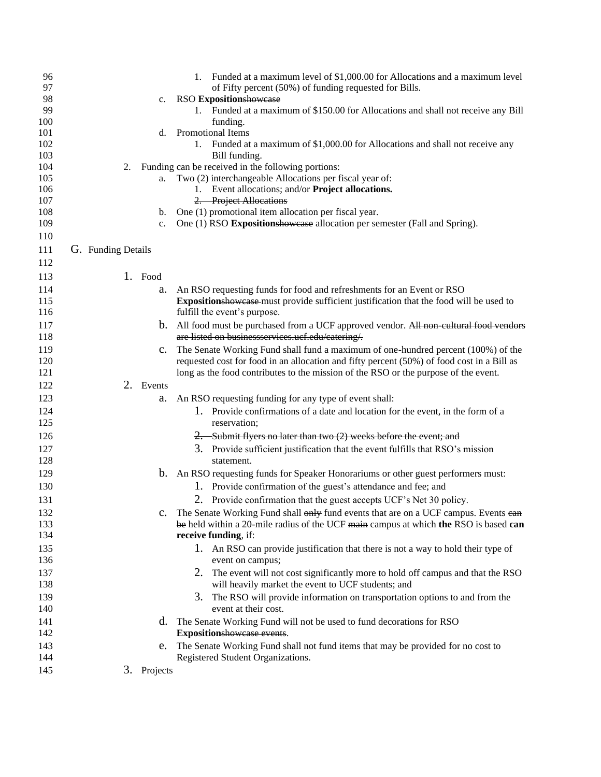| 96<br>97   |                    |    |                | 1. Funded at a maximum level of \$1,000.00 for Allocations and a maximum level<br>of Fifty percent (50%) of funding requested for Bills. |
|------------|--------------------|----|----------------|------------------------------------------------------------------------------------------------------------------------------------------|
| 98         |                    |    | $c_{\cdot}$    | <b>RSO Expositionshowcase</b>                                                                                                            |
| 99         |                    |    |                | 1. Funded at a maximum of \$150.00 for Allocations and shall not receive any Bill                                                        |
| 100        |                    |    |                | funding.                                                                                                                                 |
| 101        |                    |    | d.             | Promotional Items                                                                                                                        |
| 102        |                    |    |                | 1. Funded at a maximum of \$1,000.00 for Allocations and shall not receive any                                                           |
| 103        |                    |    |                | Bill funding.                                                                                                                            |
| 104        |                    | 2. |                | Funding can be received in the following portions:                                                                                       |
| 105        |                    |    | a.             | Two (2) interchangeable Allocations per fiscal year of:                                                                                  |
| 106        |                    |    |                | 1. Event allocations; and/or Project allocations.                                                                                        |
| 107        |                    |    |                | 2. Project Allocations                                                                                                                   |
| 108        |                    |    | b.             | One (1) promotional item allocation per fiscal year.                                                                                     |
| 109        |                    |    | c.             | One (1) RSO Expositionshowcase allocation per semester (Fall and Spring).                                                                |
| 110        |                    |    |                |                                                                                                                                          |
| 111        | G. Funding Details |    |                |                                                                                                                                          |
| 112        |                    |    |                |                                                                                                                                          |
| 113        |                    |    | 1. Food        |                                                                                                                                          |
| 114        |                    |    | a.             | An RSO requesting funds for food and refreshments for an Event or RSO                                                                    |
| 115        |                    |    |                | Expositionshowcase must provide sufficient justification that the food will be used to                                                   |
| 116        |                    |    |                | fulfill the event's purpose.                                                                                                             |
| 117        |                    |    |                | b. All food must be purchased from a UCF approved vendor. All non-cultural food vendors                                                  |
| 118        |                    |    |                | are listed on businessservices.ucf.edu/catering/.                                                                                        |
| 119        |                    |    | $\mathbf{c}$ . | The Senate Working Fund shall fund a maximum of one-hundred percent (100%) of the                                                        |
| 120        |                    |    |                | requested cost for food in an allocation and fifty percent (50%) of food cost in a Bill as                                               |
| 121        |                    |    |                | long as the food contributes to the mission of the RSO or the purpose of the event.                                                      |
|            |                    |    |                |                                                                                                                                          |
| 122        |                    |    | 2. Events      |                                                                                                                                          |
| 123        |                    |    | a.             | An RSO requesting funding for any type of event shall:                                                                                   |
| 124<br>125 |                    |    |                | 1. Provide confirmations of a date and location for the event, in the form of a<br>reservation;                                          |
| 126        |                    |    |                | 2. Submit flyers no later than two (2) weeks before the event; and                                                                       |
| 127        |                    |    |                |                                                                                                                                          |
| 128        |                    |    |                | 3. Provide sufficient justification that the event fulfills that RSO's mission<br>statement.                                             |
|            |                    |    |                |                                                                                                                                          |
| 129        |                    |    |                | b. An RSO requesting funds for Speaker Honorariums or other guest performers must:                                                       |
| 130        |                    |    |                | 1. Provide confirmation of the guest's attendance and fee; and                                                                           |
| 131        |                    |    |                | 2. Provide confirmation that the guest accepts UCF's Net 30 policy.                                                                      |
| 132        |                    |    |                | The Senate Working Fund shall only fund events that are on a UCF campus. Events ean                                                      |
| 133        |                    |    |                | be held within a 20-mile radius of the UCF main campus at which the RSO is based can                                                     |
| 134        |                    |    |                | receive funding, if:                                                                                                                     |
| 135        |                    |    |                | 1. An RSO can provide justification that there is not a way to hold their type of                                                        |
| 136        |                    |    |                | event on campus;                                                                                                                         |
| 137        |                    |    |                | 2. The event will not cost significantly more to hold off campus and that the RSO                                                        |
| 138        |                    |    |                | will heavily market the event to UCF students; and                                                                                       |
| 139<br>140 |                    |    |                | 3.<br>The RSO will provide information on transportation options to and from the<br>event at their cost.                                 |
| 141        |                    |    |                | d. The Senate Working Fund will not be used to fund decorations for RSO                                                                  |
| 142        |                    |    |                | Expositionshowease events.                                                                                                               |
| 143        |                    |    | e.             | The Senate Working Fund shall not fund items that may be provided for no cost to                                                         |
| 144        |                    |    |                | Registered Student Organizations.                                                                                                        |